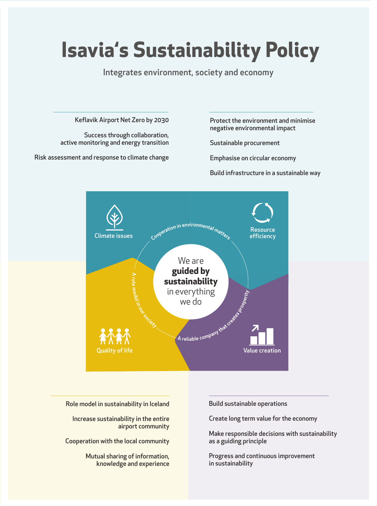Role model in sustainability in Iceland

Increase sustainability in the entire airport community

Cooperation with the local community

Mutual sharing of information, knowledge and experience

Keflavik Airport Net Zero by 2030

Success through collaboration, active monitoring and energy transition

Risk assessment and response to climate change

Protect the environment and minimise negative environmental impact

Sustainable procurement

Emphasise on circular economy

Build infrastructure in a sustainable way

Build sustainable operations

Create long term value for the economy

Make responsible decisions with sustainability as a guiding principle

Progress and continuous improvement in sustainability

## **Isavia's Sustainability Policy**

Integrates environment, society and economy